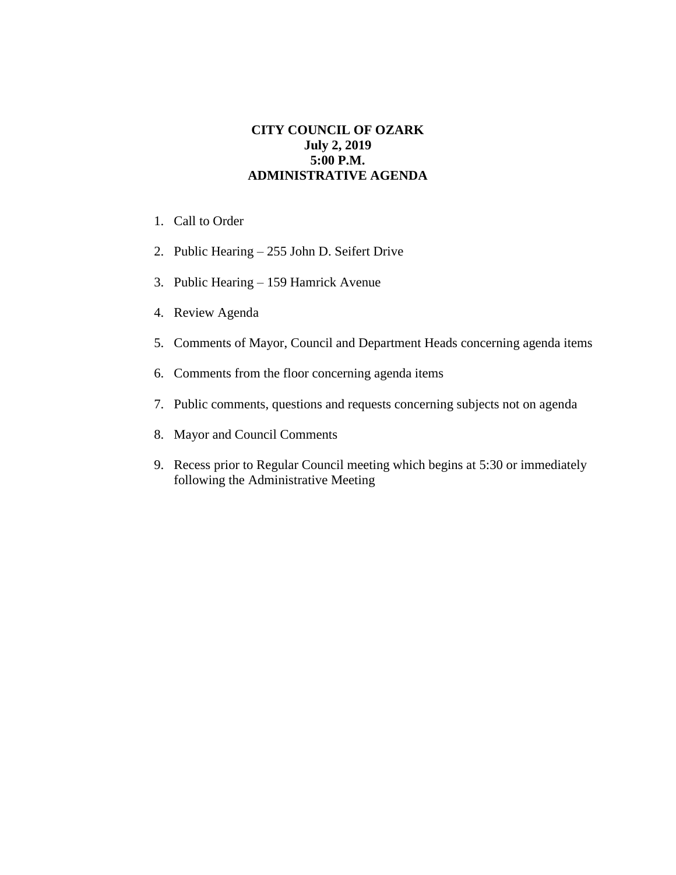## **CITY COUNCIL OF OZARK July 2, 2019 5:00 P.M. ADMINISTRATIVE AGENDA**

- 1. Call to Order
- 2. Public Hearing 255 John D. Seifert Drive
- 3. Public Hearing 159 Hamrick Avenue
- 4. Review Agenda
- 5. Comments of Mayor, Council and Department Heads concerning agenda items
- 6. Comments from the floor concerning agenda items
- 7. Public comments, questions and requests concerning subjects not on agenda
- 8. Mayor and Council Comments
- 9. Recess prior to Regular Council meeting which begins at 5:30 or immediately following the Administrative Meeting